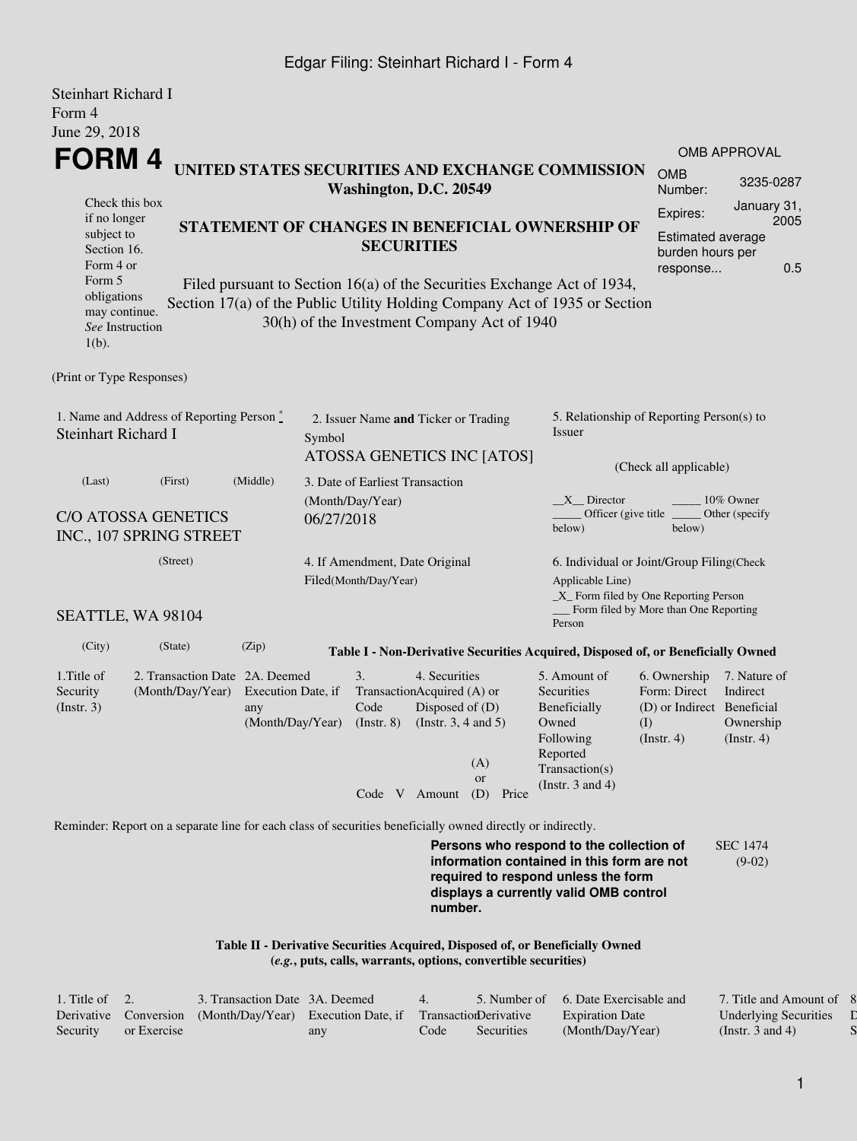## Edgar Filing: Steinhart Richard I - Form 4

| <b>Steinhart Richard I</b><br>Form 4                                                                                                  |                                                                                                                               |                                               |                                                                                                                                             |                                                             |                                                                                 |                                  |                                                                                                                                                                         |                                                                                       |                                                           |  |
|---------------------------------------------------------------------------------------------------------------------------------------|-------------------------------------------------------------------------------------------------------------------------------|-----------------------------------------------|---------------------------------------------------------------------------------------------------------------------------------------------|-------------------------------------------------------------|---------------------------------------------------------------------------------|----------------------------------|-------------------------------------------------------------------------------------------------------------------------------------------------------------------------|---------------------------------------------------------------------------------------|-----------------------------------------------------------|--|
| June 29, 2018                                                                                                                         |                                                                                                                               |                                               |                                                                                                                                             |                                                             |                                                                                 |                                  |                                                                                                                                                                         |                                                                                       |                                                           |  |
|                                                                                                                                       |                                                                                                                               |                                               |                                                                                                                                             |                                                             |                                                                                 |                                  |                                                                                                                                                                         |                                                                                       | OMB APPROVAL                                              |  |
| FORM 4<br>UNITED STATES SECURITIES AND EXCHANGE COMMISSION<br>Washington, D.C. 20549                                                  |                                                                                                                               |                                               |                                                                                                                                             |                                                             |                                                                                 |                                  |                                                                                                                                                                         |                                                                                       | 3235-0287                                                 |  |
| Check this box<br>if no longer<br>subject to<br>Section 16.<br>Form 4 or<br>Form 5<br>obligations<br>may continue.<br>See Instruction | STATEMENT OF CHANGES IN BENEFICIAL OWNERSHIP OF<br>Section 17(a) of the Public Utility Holding Company Act of 1935 or Section |                                               | <b>SECURITIES</b><br>Filed pursuant to Section 16(a) of the Securities Exchange Act of 1934,<br>30(h) of the Investment Company Act of 1940 | Expires:                                                    | January 31,<br>2005<br>Estimated average<br>burden hours per<br>0.5<br>response |                                  |                                                                                                                                                                         |                                                                                       |                                                           |  |
| $1(b)$ .                                                                                                                              |                                                                                                                               |                                               |                                                                                                                                             |                                                             |                                                                                 |                                  |                                                                                                                                                                         |                                                                                       |                                                           |  |
| (Print or Type Responses)                                                                                                             |                                                                                                                               |                                               |                                                                                                                                             |                                                             |                                                                                 |                                  |                                                                                                                                                                         |                                                                                       |                                                           |  |
| 1. Name and Address of Reporting Person $\degree$<br><b>Steinhart Richard I</b>                                                       |                                                                                                                               |                                               | Symbol                                                                                                                                      | 2. Issuer Name and Ticker or Trading                        |                                                                                 | ATOSSA GENETICS INC [ATOS]       | 5. Relationship of Reporting Person(s) to<br>Issuer                                                                                                                     |                                                                                       |                                                           |  |
| (Last)                                                                                                                                |                                                                                                                               | 3. Date of Earliest Transaction               |                                                                                                                                             |                                                             | (Check all applicable)                                                          |                                  |                                                                                                                                                                         |                                                                                       |                                                           |  |
| (Middle)<br>(First)<br><b>C/O ATOSSA GENETICS</b><br>INC., 107 SPRING STREET                                                          |                                                                                                                               |                                               | 06/27/2018                                                                                                                                  | (Month/Day/Year)                                            |                                                                                 |                                  | $X$ Director<br>10% Owner<br>Officer (give title)<br>Other (specify)<br>below)<br>below)                                                                                |                                                                                       |                                                           |  |
| (Street)                                                                                                                              |                                                                                                                               |                                               | 4. If Amendment, Date Original<br>Filed(Month/Day/Year)                                                                                     |                                                             |                                                                                 |                                  | 6. Individual or Joint/Group Filing(Check<br>Applicable Line)<br>$\_X$ Form filed by One Reporting Person                                                               |                                                                                       |                                                           |  |
| SEATTLE, WA 98104                                                                                                                     |                                                                                                                               |                                               |                                                                                                                                             |                                                             |                                                                                 |                                  | Person                                                                                                                                                                  | Form filed by More than One Reporting                                                 |                                                           |  |
| (City)                                                                                                                                | (State)                                                                                                                       | (Zip)                                         |                                                                                                                                             |                                                             |                                                                                 |                                  | Table I - Non-Derivative Securities Acquired, Disposed of, or Beneficially Owned                                                                                        |                                                                                       |                                                           |  |
| 1. Title of<br>Security<br>(Insert. 3)                                                                                                | 2. Transaction Date 2A. Deemed<br>(Month/Day/Year)                                                                            | Execution Date, if<br>any<br>(Month/Day/Year) |                                                                                                                                             | 3.<br>TransactionAcquired (A) or<br>Code<br>$($ Instr. $8)$ | 4. Securities<br>Disposed of (D)<br>(Instr. $3, 4$ and $5$ )<br>Code V Amount   | (A)<br><b>or</b><br>(D)<br>Price | 5. Amount of<br>Securities<br>Beneficially<br>Owned<br>Following<br>Reported<br>Transaction(s)<br>(Instr. $3$ and $4$ )                                                 | 6. Ownership<br>Form: Direct<br>(D) or Indirect Beneficial<br>(I)<br>$($ Instr. 4 $)$ | 7. Nature of<br>Indirect<br>Ownership<br>$($ Instr. 4 $)$ |  |
|                                                                                                                                       | Reminder: Report on a separate line for each class of securities beneficially owned directly or indirectly.                   |                                               |                                                                                                                                             |                                                             |                                                                                 |                                  |                                                                                                                                                                         |                                                                                       |                                                           |  |
|                                                                                                                                       |                                                                                                                               |                                               |                                                                                                                                             |                                                             | number.                                                                         |                                  | Persons who respond to the collection of<br>information contained in this form are not<br>required to respond unless the form<br>displays a currently valid OMB control |                                                                                       | <b>SEC 1474</b><br>$(9-02)$                               |  |

**Table II - Derivative Securities Acquired, Disposed of, or Beneficially Owned (***e.g.***, puts, calls, warrants, options, convertible securities)**

| Title of $\quad 2.$ |             | 3. Transaction Date 3A, Deemed                                        |     | $\Delta$ |            | 5. Number of 6. Date Exercisable and | 7. Title and Amount of       |
|---------------------|-------------|-----------------------------------------------------------------------|-----|----------|------------|--------------------------------------|------------------------------|
| Derivative          |             | Conversion (Month/Day/Year) Execution Date, if Transaction Derivative |     |          |            | <b>Expiration Date</b>               | <b>Underlying Securities</b> |
| Security            | or Exercise |                                                                       | any | Code     | Securities | (Month/Day/Year)                     | (Instr. 3 and 4)             |

8. Price of  $\Gamma$  $S$